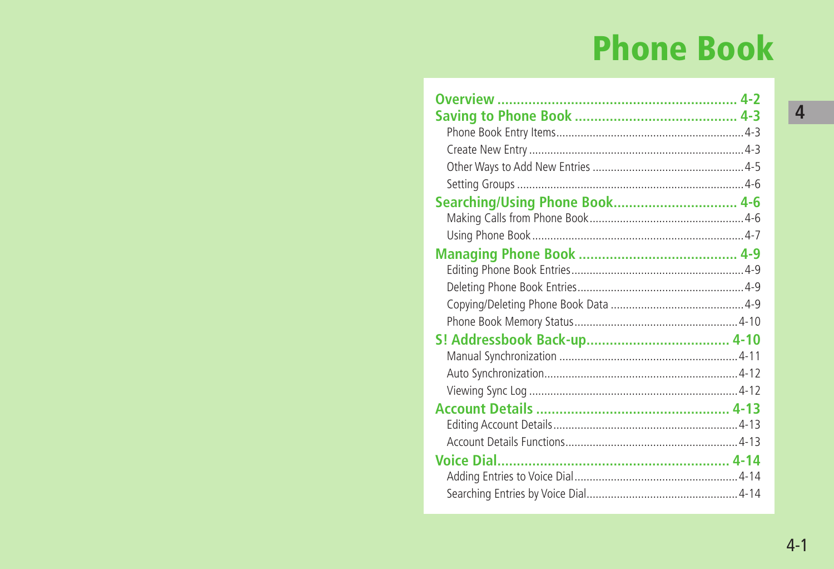# **Phone Book**

| Searching/Using Phone Book 4-6 |  |
|--------------------------------|--|
|                                |  |
|                                |  |
|                                |  |
|                                |  |
|                                |  |
|                                |  |
|                                |  |
|                                |  |
|                                |  |
|                                |  |
|                                |  |
|                                |  |
|                                |  |
|                                |  |
|                                |  |
|                                |  |
|                                |  |
|                                |  |

 $4 - 1$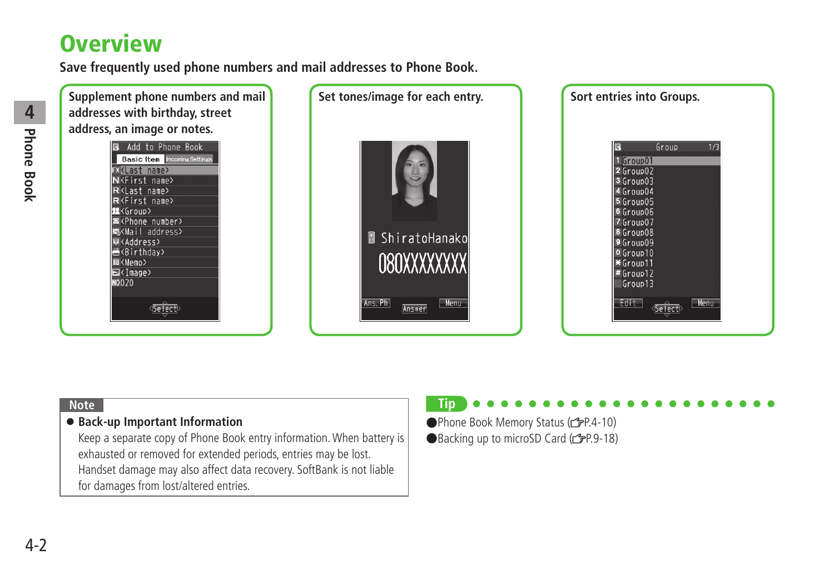## <span id="page-1-0"></span>**Overview**

**Save frequently used phone numbers and mail addresses to Phone Book.**



#### **Note**

#### ● **Back-up Important Information**

Keep a separate copy of Phone Book entry information. When battery is exhausted or removed for extended periods, entries may be lost. Handset damage may also affect data recovery. SoftBank is not liable for damages from lost/altered entries.

### **Tip**

●Phone Book Memory Status (全P.4-10) ●Backing up to microSD Card (r P.9-18)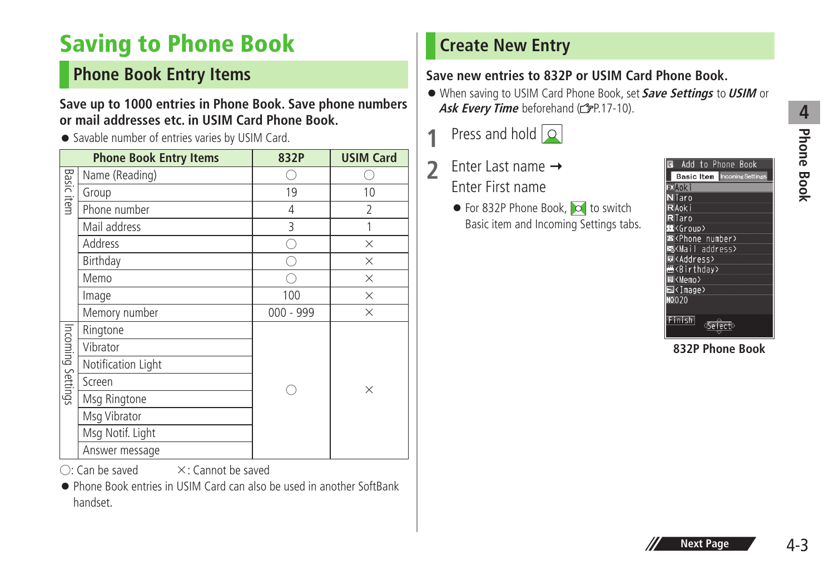## <span id="page-2-0"></span>**Saving to Phone Book**

## **Phone Book Entry Items**

#### **Save up to 1000 entries in Phone Book. Save phone numbers or mail addresses etc. in USIM Card Phone Book.**

● Savable number of entries varies by USIM Card.

|                   | <b>Phone Book Entry Items</b> | 832P        | <b>USIM Card</b> |
|-------------------|-------------------------------|-------------|------------------|
|                   | Name (Reading)                |             |                  |
| <b>Basic item</b> | Group                         | 19          | 10               |
|                   | Phone number                  | 4           | $\overline{2}$   |
|                   | Mail address                  | 3           | 1                |
|                   | Address                       |             | ×                |
|                   | Birthday                      |             | $\times$         |
|                   | Memo                          |             | $\times$         |
|                   | Image                         | 100         | $\times$         |
|                   | Memory number                 | $000 - 999$ | $\times$         |
|                   | Ringtone                      |             |                  |
|                   | Vibrator                      |             |                  |
| Incoming Settings | Notification Light            |             |                  |
|                   | Screen                        |             | $\times$         |
|                   | Msg Ringtone                  |             |                  |
|                   | Msg Vibrator                  |             |                  |
|                   | Msg Notif. Light              |             |                  |
|                   | Answer message                |             |                  |

 $\bigcap$ : Can be saved  $\bigtimes$ : Cannot be saved

● Phone Book entries in USIM Card can also be used in another SoftBank handset.

## **Create New Entry**

### **Save new entries to 832P or USIM Card Phone Book.**

- When saving to USIM Card Phone Book, set **Save Settings** to **USIM** or Ask Every Time beforehand (**FP.17-10**).
- **1** Press and hold  $\boxed{\circ}$
- 2 Enter Last name → Enter First name
	- For 832P Phone Book, co to switch Basic item and Incoming Settings tabs.

| Add to Phone Book                   |  |
|-------------------------------------|--|
| <b>Basic Item Incoming Settings</b> |  |
| $\sqrt{2}$ Aoki                     |  |
| N Taro                              |  |
| R Aok i                             |  |
| $R$ Taro                            |  |
| <b>R</b> <group></group>            |  |
| <b>B</b> <phone number=""></phone>  |  |
| 3 <mail address=""></mail>          |  |
| <b>E</b> KAddress>                  |  |
| <b>KBirthday</b>                    |  |
| El <memo></memo>                    |  |
| <b>⊠</b> <image/>                   |  |
| NO020                               |  |
|                                     |  |
| i sh                                |  |

**832P Phone Book**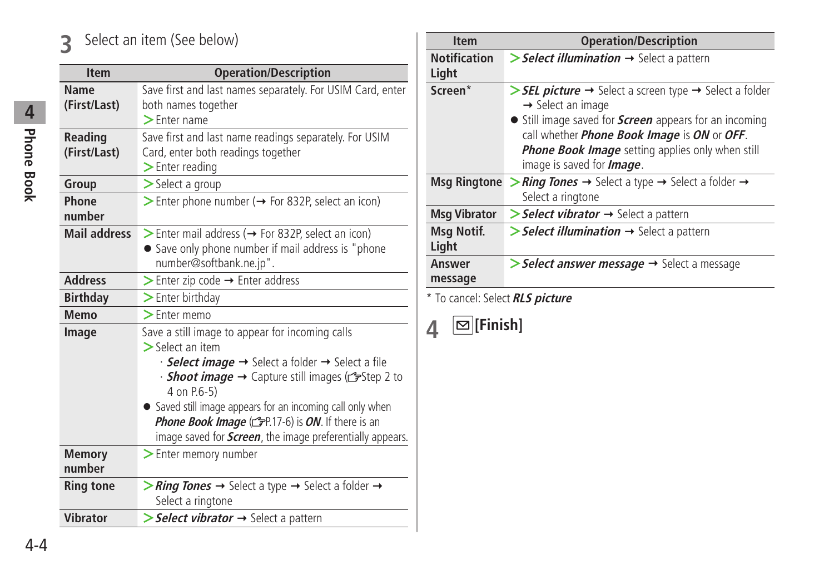## **3** Select an item (See below)

| <b>Item</b>         | <b>Operation/Description</b>                                                         |
|---------------------|--------------------------------------------------------------------------------------|
| <b>Name</b>         | Save first and last names separately. For USIM Card, enter                           |
| (First/Last)        | both names together                                                                  |
|                     | $\blacktriangleright$ Enter name                                                     |
| <b>Reading</b>      | Save first and last name readings separately. For USIM                               |
| (First/Last)        | Card, enter both readings together                                                   |
|                     | $\blacktriangleright$ Enter reading                                                  |
| Group               | > Select a group                                                                     |
| Phone               | > Enter phone number (→ For 832P, select an icon)                                    |
| number              |                                                                                      |
| <b>Mail address</b> | Sinter mail address ( $\rightarrow$ For 832P, select an icon)                        |
|                     | • Save only phone number if mail address is "phone                                   |
|                     | number@softbank.ne.jp".                                                              |
| <b>Address</b>      | $\triangleright$ Enter zip code $\rightarrow$ Enter address                          |
| <b>Birthday</b>     | > Enter birthday                                                                     |
| Memo                | $\geq$ Enter memo                                                                    |
| Image               | Save a still image to appear for incoming calls                                      |
|                     | $\geq$ Select an item                                                                |
|                     | $\cdot$ Select image $\rightarrow$ Select a folder $\rightarrow$ Select a file       |
|                     | • <b>Shoot image</b> $\rightarrow$ Capture still images ( $\mathcal{F}$ Step 2 to    |
|                     | 4 on P.6-5)                                                                          |
|                     | • Saved still image appears for an incoming call only when                           |
|                     | Phone Book Image (FP.17-6) is ON. If there is an                                     |
|                     | image saved for <i>Screen</i> , the image preferentially appears.                    |
| <b>Memory</b>       | > Enter memory number                                                                |
| number              |                                                                                      |
| <b>Ring tone</b>    | > Ring Tones $\rightarrow$ Select a type $\rightarrow$ Select a folder $\rightarrow$ |
|                     | Select a ringtone                                                                    |
| <b>Vibrator</b>     | Select vibrator  ightarrian Select a pattern                                         |

| <b>Item</b>                  | <b>Operation/Description</b>                                                                                                                                                                                                                                                                                                                                 |
|------------------------------|--------------------------------------------------------------------------------------------------------------------------------------------------------------------------------------------------------------------------------------------------------------------------------------------------------------------------------------------------------------|
| <b>Notification</b><br>Light | $\triangleright$ <b>Select illumination</b> $\rightarrow$ Select a pattern                                                                                                                                                                                                                                                                                   |
| Screen*                      | $\triangleright$ <b>SEL picture</b> $\rightarrow$ Select a screen type $\rightarrow$ Select a folder<br>$\rightarrow$ Select an image<br>• Still image saved for <b>Screen</b> appears for an incoming<br>call whether <i>Phone Book Image</i> is ON or OFF.<br><b>Phone Book Image</b> setting applies only when still<br>image is saved for <i>Image</i> . |
|                              | Msq Ringtone > Ring Tones $\rightarrow$ Select a type $\rightarrow$ Select a folder $\rightarrow$<br>Select a ringtone                                                                                                                                                                                                                                       |
| <b>Msg Vibrator</b>          | $\triangleright$ <b>Select vibrator</b> $\rightarrow$ Select a pattern                                                                                                                                                                                                                                                                                       |
| Msg Notif.<br>Light          | $\triangleright$ <b>Select illumination</b> $\rightarrow$ Select a pattern                                                                                                                                                                                                                                                                                   |
| Answer<br>message            | $\triangleright$ Select answer message $\rightarrow$ Select a message                                                                                                                                                                                                                                                                                        |

\* To cancel: Select **RLS picture**

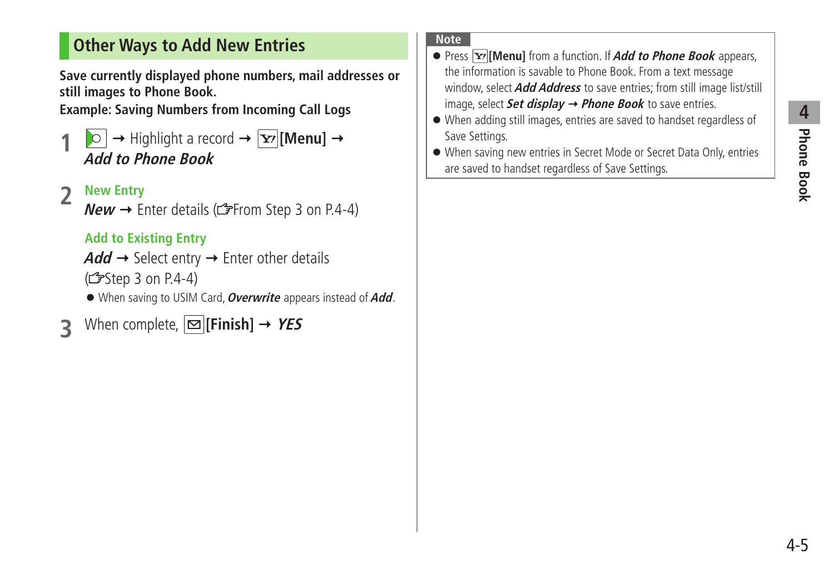## <span id="page-4-0"></span>**Other Ways to Add New Entries**

**Save currently displayed phone numbers, mail addresses or still images to Phone Book.**

**Example: Saving Numbers from Incoming Call Logs**

 $\vert \circ \vert \rightarrow$  Highlight a record  $\rightarrow$   $\vert \overline{Y'} \vert$  [**Menu**]  $\rightarrow$ **Add to Phone Book**

### **2 New Entry**

 $New \rightarrow$  Enter details ( $\mathcal{F}$ From Step 3 on P.4-4)

### **Add to Existing Entry**

```
Add \rightarrow Select entry \rightarrow Enter other details
(\mathbb{C}\mathbb{P}Step 3 on P.4-4)
```
● When saving to USIM Card, **Overwrite** appears instead of **Add**.

When complete,  $\boxed{\infty}$  [Finish]  $\rightarrow$  YES

#### **Note**

- Press **[Menu]** from a function. If **Add to Phone Book** appears, the information is savable to Phone Book. From a text message window, select **Add Address** to save entries; from still image list/still image, select **Set display Phone Book** to save entries.
- When adding still images, entries are saved to handset regardless of Save Settings.
- When saving new entries in Secret Mode or Secret Data Only, entries are saved to handset regardless of Save Settings.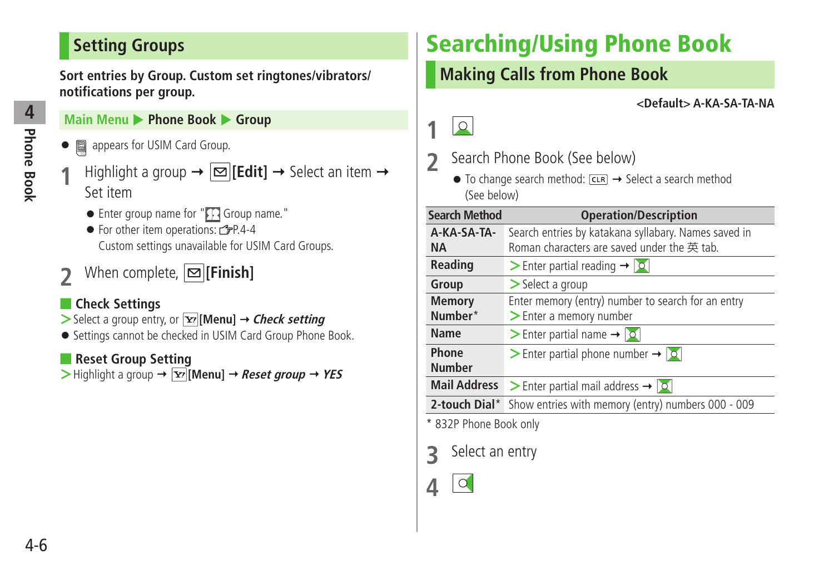## <span id="page-5-0"></span>**Setting Groups**

**Sort entries by Group. Custom set ringtones/vibrators/ notifications per group.**

### **Main Menu ▶ Phone Book ▶ Group**

- 圖 appears for USIM Card Group.
- $\text{Highlight a group} \rightarrow \boxed{\text{S}}$  [**Edit**]  $\rightarrow$  Select an item  $\rightarrow$ Set item
	- $\bullet$  Enter group name for " $\bigcap$  Group name."
	- $\bullet$  For other item operations:  $\sim$   $\neq$  P.4-4 Custom settings unavailable for USIM Card Groups.
- **2** When complete,  $\boxed{2}$  [Finish]

### ■ **Check Settings**

- $>$  Select a group entry, or  $\boxed{\mathbf{Y}}$  [Menu]  $\rightarrow$  *Check setting*
- Settings cannot be checked in USIM Card Group Phone Book.

### ■ **Reset Group Setting**

 $>$  Highlight a group  $\rightarrow \boxed{\mathbf{x}}$  [Menu]  $\rightarrow$  *Reset group*  $\rightarrow$  *YES* 

# **Searching/Using Phone Book**

## **Making Calls from Phone Book**

#### **<Default> A-KA-SA-TA-NA**



- **2** Search Phone Book (See below)
	- $\bullet$  To change search method:  $\overline{c}$   $\overline{c}$   $\rightarrow$  Select a search method (See below)

| <b>Search Method</b>   | <b>Operation/Description</b>                                             |
|------------------------|--------------------------------------------------------------------------|
| A-KA-SA-TA-            | Search entries by katakana syllabary. Names saved in                     |
| <b>NA</b>              | Roman characters are saved under the 英 tab.                              |
| <b>Reading</b>         | $\triangleright$ Enter partial reading $\rightarrow$ $\vert \circ \vert$ |
| Group                  | $\triangleright$ Select a group                                          |
| <b>Memory</b>          | Enter memory (entry) number to search for an entry                       |
| Number*                | > Enter a memory number                                                  |
| Name                   | > Enter partial name $\rightarrow$ $\vert \circ \vert$                   |
| Phone                  | > Enter partial phone number $\rightarrow$ $\sim$                        |
| <b>Number</b>          |                                                                          |
| <b>Mail Address</b>    | Senter partial mail address $\rightarrow  0 $                            |
| 2-touch Dial*          | Show entries with memory (entry) numbers 000 - 009                       |
| * 832P Phone Book only |                                                                          |

**3** Select an entry

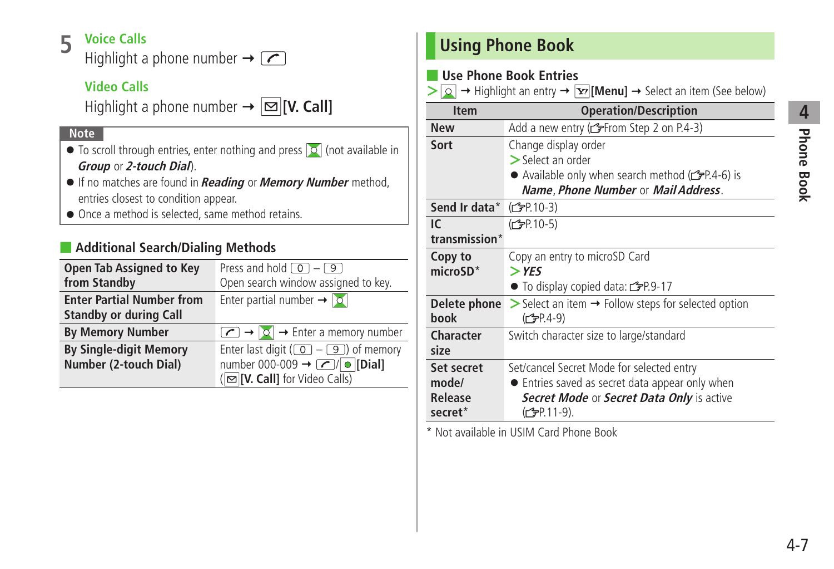# **4** Phone Book **Phone Book**

### <span id="page-6-0"></span>**5 Voice Calls**

Highlight a phone number  $\rightarrow \boxed{\frown}$ 

### **Video Calls**

Highlight a phone number  $\rightarrow \boxed{\infty}$  [V. Call]

#### **Note**

- $\bullet$  To scroll through entries, enter nothing and press  $\circ$  (not available in **Group** or **2-touch Dial**).
- If no matches are found in **Reading** or **Memory Number** method, entries closest to condition appear.
- Once a method is selected, same method retains.

### ■ **Additional Search/Dialing Methods**

| <b>Open Tab Assigned to Key</b><br>from Standby                   | Press and hold $\boxed{0}$ – $\boxed{9}$<br>Open search window assigned to key.                                                                      |
|-------------------------------------------------------------------|------------------------------------------------------------------------------------------------------------------------------------------------------|
| <b>Enter Partial Number from</b><br><b>Standby or during Call</b> | Enter partial number $\rightarrow$ $\circ$                                                                                                           |
| <b>By Memory Number</b>                                           | $\boxed{\frown}$ $\rightarrow$ $\boxed{\circ}$ $\rightarrow$ Enter a memory number                                                                   |
| <b>By Single-digit Memory</b><br>Number (2-touch Dial)            | Enter last digit ( $\boxed{0}$ – $\boxed{9}$ ) of memory<br>number 000-009 $\rightarrow$ 2/0 [Dial]<br>( $\boxed{\infty}$ [V. Call] for Video Calls) |

## **Using Phone Book**

### ■ **Use Phone Book Entries**

 $\triangleright$  **Q**  $\rightarrow$  Highlight an entry  $\rightarrow$  **[Menu]**  $\rightarrow$  Select an item (See below)

| <b>Item</b>          | <b>Operation/Description</b>                                                                             |
|----------------------|----------------------------------------------------------------------------------------------------------|
| <b>New</b>           | Add a new entry (reffrom Step 2 on P.4-3)                                                                |
| Sort                 | Change display order<br>$\geq$ Select an order                                                           |
|                      | • Available only when search method $(\mathcal{F}P.4-6)$ is<br>Name, Phone Number or Mail Address.       |
| Send Ir data*        | ( <del>C</del> <sub>P</sub> P 10-3)                                                                      |
| IC.                  | (C <sub>FP</sub> P.10-5)                                                                                 |
| transmission*        |                                                                                                          |
| Copy to              | Copy an entry to microSD Card                                                                            |
| $microSD*$           | $>$ YES                                                                                                  |
|                      | ● To display copied data: represent                                                                      |
| Delete phone<br>book | $\triangleright$ Select an item $\rightarrow$ Follow steps for selected option<br>(C <sub>J</sub> P.4-9) |
| Character<br>size    | Switch character size to large/standard                                                                  |
| Set secret           | Set/cancel Secret Mode for selected entry                                                                |
| mode/                | • Entries saved as secret data appear only when                                                          |
| Release              | Secret Mode or Secret Data Only is active                                                                |
| secret <sup>*</sup>  | (C <sub>J</sub> P.11-9).                                                                                 |

\* Not available in USIM Card Phone Book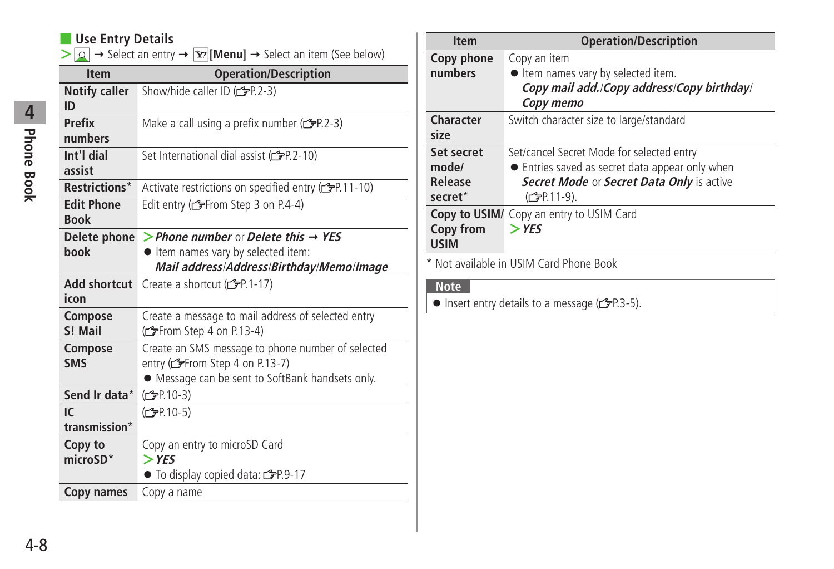### ■ **Use Entry Details**

 $\geq$   $\sim$  Select an entry  $\rightarrow$   $\geq$  [**Menu**]  $\rightarrow$  Select an item (See below)

| <b>Item</b>                      | <b>Operation/Description</b>                                                                                                              |
|----------------------------------|-------------------------------------------------------------------------------------------------------------------------------------------|
| <b>Notify caller</b><br>ID       | Show/hide caller ID (crep-2-3)                                                                                                            |
| Prefix<br>numbers                | Make a call using a prefix number (fre.2-3)                                                                                               |
| Int'l dial<br>assist             | Set International dial assist (free 2-10)                                                                                                 |
| Restrictions*                    | Activate restrictions on specified entry (FP.11-10)                                                                                       |
| <b>Edit Phone</b><br><b>Book</b> | Edit entry (reffrom Step 3 on P.4-4)                                                                                                      |
| Delete phone<br>book             | > Phone number or Delete this $\rightarrow$ YES<br>• Item names vary by selected item:                                                    |
|                                  | Mail address/Address/Birthday/Memo/Image                                                                                                  |
| <b>Add shortcut</b><br>icon      | Create a shortcut (real-17)                                                                                                               |
| Compose<br>S! Mail               | Create a message to mail address of selected entry<br>(from Step 4 on P.13-4)                                                             |
| Compose<br><b>SMS</b>            | Create an SMS message to phone number of selected<br>entry (reffrom Step 4 on P.13-7)<br>• Message can be sent to SoftBank handsets only. |
| Send Ir data*                    | (C=P.10-3)                                                                                                                                |
| $\overline{C}$                   | (C <sub>FP</sub> P.10-5)                                                                                                                  |
| transmission*                    |                                                                                                                                           |
| Copy to                          | Copy an entry to microSD Card                                                                                                             |
| $microSD*$                       | $>$ YES                                                                                                                                   |
|                                  | $\bullet$ To display copied data: $\bullet$ P.9-17                                                                                        |
| Copy names                       | Copy a name                                                                                                                               |

| <b>Item</b>         | <b>Operation/Description</b>                    |
|---------------------|-------------------------------------------------|
| Copy phone          | Copy an item                                    |
| numbers             | ltem names vary by selected item.               |
|                     | Copy mail add./Copy address/Copy birthday/      |
|                     | Copy memo                                       |
| Character           | Switch character size to large/standard         |
| size                |                                                 |
| Set secret          | Set/cancel Secret Mode for selected entry       |
| mode/               | • Entries saved as secret data appear only when |
| Release             | Secret Mode or Secret Data Only is active       |
| secret <sup>*</sup> | (C <sub>FP</sub> P.11-9).                       |
| Copy to USIM/       | Copy an entry to USIM Card                      |
| Copy from           | $>$ YES                                         |
| <b>USIM</b>         |                                                 |

\* Not available in USIM Card Phone Book

#### **Note**

 $\bullet$  Insert entry details to a message ( $\textcircled{r}$ P.3-5).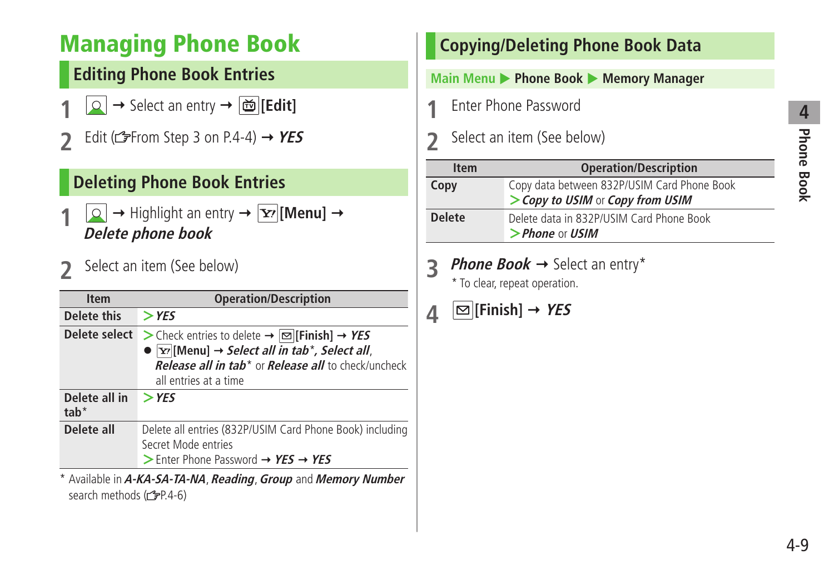## <span id="page-8-0"></span>**Managing Phone Book**

## **Editing Phone Book Entries**

- $\boxed{\circ}$   $\rightarrow$  Select an entry  $\rightarrow$   $\boxed{\circ}$  [Edit]
- Edit ( $\mathcal{L}$ From Step 3 on P.4-4)  $\rightarrow$  **YES**

### **Deleting Phone Book Entries**

- $\boxed{\circ}$   $\rightarrow$  Highlight an entry  $\rightarrow$   $\boxed{\mathbf{Y}'}$  [Menu]  $\rightarrow$ **Delete phone book**
- **2** Select an item (See below)

| <b>Item</b>             | <b>Operation/Description</b>                                                                                                                                                                                                                          |
|-------------------------|-------------------------------------------------------------------------------------------------------------------------------------------------------------------------------------------------------------------------------------------------------|
| Delete this             | $>$ YES                                                                                                                                                                                                                                               |
| Delete select           | > Check entries to delete $\rightarrow \infty$ [Finish] $\rightarrow$ YES<br>• $\vert y \vert$ [Menu] $\rightarrow$ Select all in tab*, Select all,<br><b>Release all in tab<sup>*</sup> or Release all to check/uncheck</b><br>all entries at a time |
| Delete all in<br>$tab*$ | $>$ YES                                                                                                                                                                                                                                               |
| Delete all              | Delete all entries (832P/USIM Card Phone Book) including<br>Secret Mode entries<br>$>$ Enter Phone Password $\rightarrow$ YES $\rightarrow$ YES                                                                                                       |

\* Available in **A-KA-SA-TA-NA**, **Reading**, **Group** and **Memory Number** search methods (r P.4-6)

## **Copying/Deleting Phone Book Data Main Menu ▶ Phone Book ▶ Memory Manager 1** Enter Phone Password

**2** Select an item (See below)

| <b>Item</b>   | <b>Operation/Description</b>                                                    |
|---------------|---------------------------------------------------------------------------------|
| Copy          | Copy data between 832P/USIM Card Phone Book<br>> Copy to USIM or Copy from USIM |
| <b>Delete</b> | Delete data in 832P/USIM Card Phone Book<br>$>$ Phone or USIM                   |

**3 Phone Book**  $\rightarrow$  Select an entry\*

\* To clear, repeat operation.

## $\mathbf{A} \quad \boxed{\infty}$  [Finish]  $\rightarrow$  YES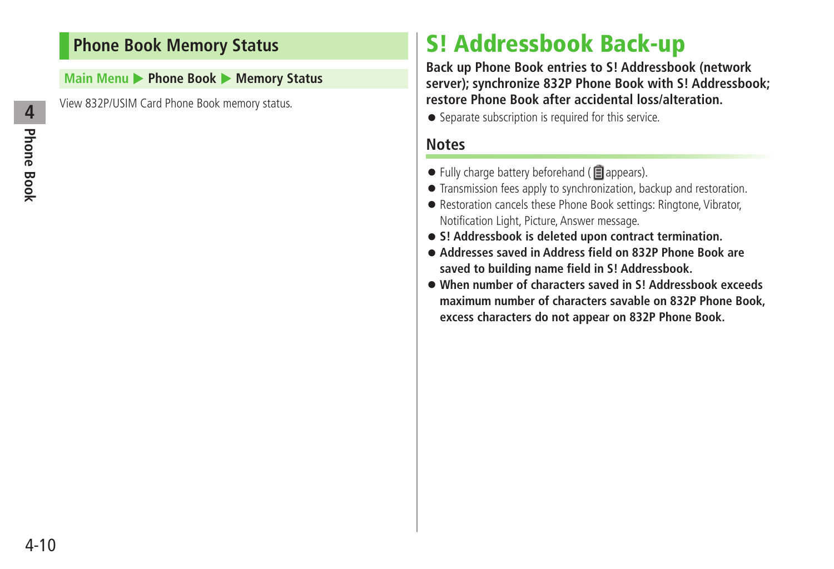### <span id="page-9-0"></span>**Phone Book Memory Status**

**Main Menu > Phone Book > Memory Status** 

View 832P/USIM Card Phone Book memory status.

## **S! Addressbook Back-up**

**Back up Phone Book entries to S! Addressbook (network server); synchronize 832P Phone Book with S! Addressbook; restore Phone Book after accidental loss/alteration.**

● Separate subscription is required for this service.

### **Notes**

- $\bullet$  Fully charge battery beforehand ( $\Box$ appears).
- Transmission fees apply to synchronization, backup and restoration.
- Restoration cancels these Phone Book settings: Ringtone, Vibrator, Notification Light, Picture, Answer message.
- **S! Addressbook is deleted upon contract termination.**
- **Addresses saved in Address field on 832P Phone Book are saved to building name field in S! Addressbook.**
- **When number of characters saved in S! Addressbook exceeds maximum number of characters savable on 832P Phone Book, excess characters do not appear on 832P Phone Book.**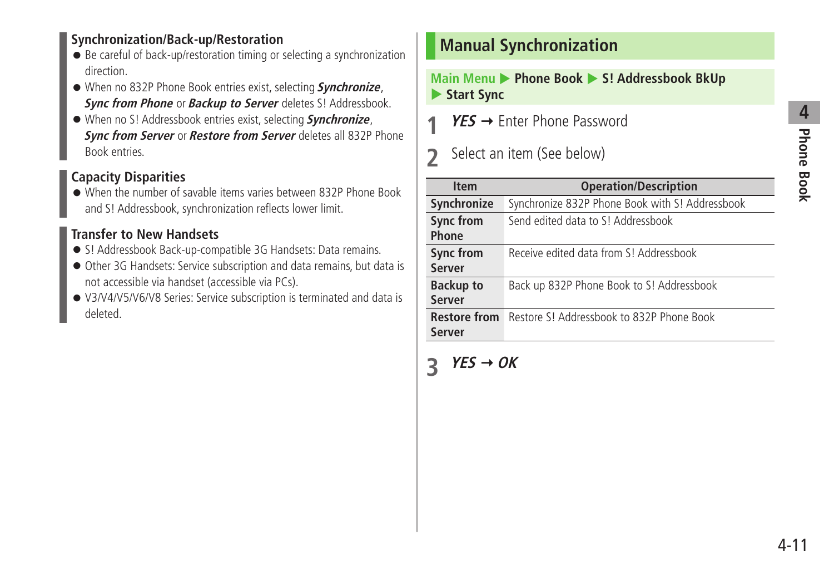### <span id="page-10-0"></span>**Synchronization/Back-up/Restoration**

- Be careful of back-up/restoration timing or selecting a synchronization direction.
- When no 832P Phone Book entries exist, selecting **Synchronize**, **Sync from Phone** or **Backup to Server** deletes S! Addressbook.
- When no S! Addressbook entries exist, selecting **Synchronize**, **Sync from Server** or **Restore from Server** deletes all 832P Phone Book entries.

### **Capacity Disparities**

● When the number of savable items varies between 832P Phone Book and S! Addressbook, synchronization reflects lower limit.

### **Transfer to New Handsets**

- S! Addressbook Back-up-compatible 3G Handsets: Data remains.
- Other 3G Handsets: Service subscription and data remains, but data is not accessible via handset (accessible via PCs).
- V3/V4/V5/V6/V8 Series: Service subscription is terminated and data is deleted.

### **Manual Synchronization**

#### **Main Menu > Phone Book > S! Addressbook BkUp Start Sync**

- **YES → Enter Phone Password**
- **2** Select an item (See below)

| <b>Item</b>         | <b>Operation/Description</b>                    |
|---------------------|-------------------------------------------------|
| Synchronize         | Synchronize 832P Phone Book with S! Addressbook |
| <b>Sync from</b>    | Send edited data to S! Addressbook              |
| Phone               |                                                 |
| Sync from           | Receive edited data from S! Addressbook         |
| Server              |                                                 |
| <b>Backup to</b>    | Back up 832P Phone Book to S! Addressbook       |
| Server              |                                                 |
| <b>Restore from</b> | Restore S! Addressbook to 832P Phone Book       |
| <b>Server</b>       |                                                 |
|                     |                                                 |

## $\overline{3}$  **YES**  $\rightarrow$  OK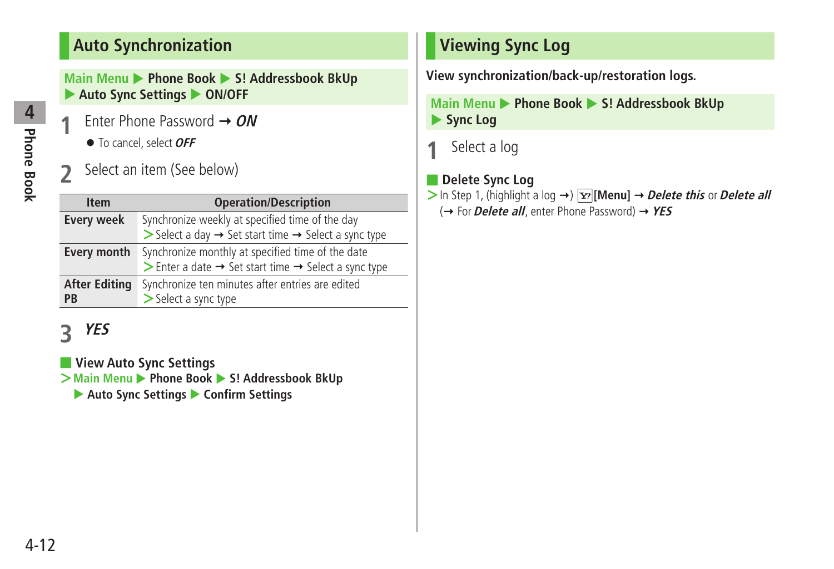### <span id="page-11-0"></span>**Auto Synchronization**

**Main Menu > Phone Book > S! Addressbook BkUp** ▶ Auto Sync Settings ▶ ON/OFF

- **1** Enter Phone Password **ON** ● To cancel, select **OFF**
- **2** Select an item (See below)

| <b>Item</b>          | <b>Operation/Description</b>                                                |
|----------------------|-----------------------------------------------------------------------------|
| <b>Every week</b>    | Synchronize weekly at specified time of the day                             |
|                      | Select a day $\rightarrow$ Set start time $\rightarrow$ Select a sync type  |
| Every month          | Synchronize monthly at specified time of the date                           |
|                      | Senter a date $\rightarrow$ Set start time $\rightarrow$ Select a sync type |
| <b>After Editing</b> | Synchronize ten minutes after entries are edited                            |
| <b>PB</b>            | > Select a sync type                                                        |

## **3 YES**

### ■ **View Auto Sync Settings**

 $\geq$  Main Menu  $\geq$  Phone Book  $\geq$  S! Addressbook BkUp

▶ Auto Sync Settings ▶ Confirm Settings

## **Viewing Sync Log**

**View synchronization/back-up/restoration logs.**

**Main Menu > Phone Book > S! Addressbook BkUp** ▶ Sync Log

**1** Select a log

### ■ **Delete Sync Log**

 $>$  In Step 1, (highlight a log  $\rightarrow$  )  $\overline{Y}$ <sup>r</sup> [Menu]  $\rightarrow$  *Delete this* or *Delete all* (→ For *Delete all*, enter Phone Password) → YES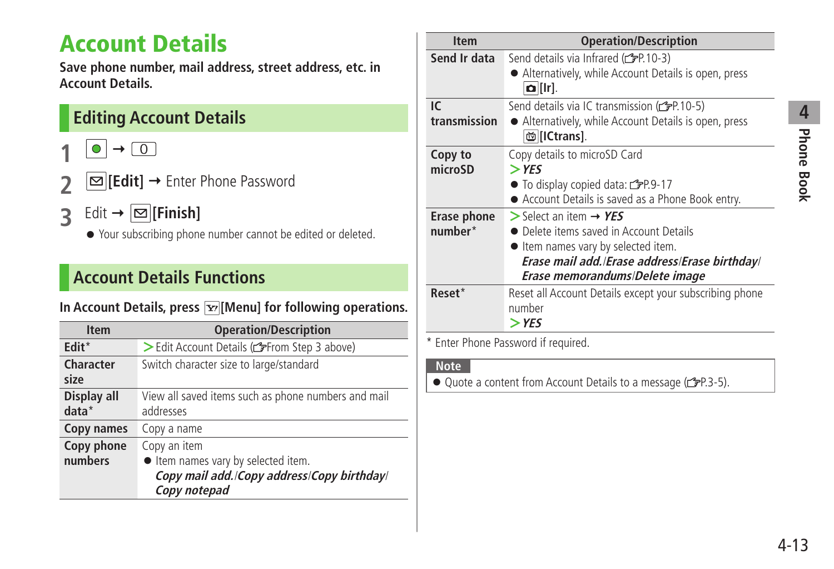## <span id="page-12-0"></span>**Account Details**

**Save phone number, mail address, street address, etc. in Account Details.**

## **Editing Account Details**

- $\bullet$   $\rightarrow$   $\circ$
- **2 [Edit]** Enter Phone Password
- $\overline{3}$  Edit  $\rightarrow \boxed{\infty}$  [Finish]
	- Your subscribing phone number cannot be edited or deleted.

## **Account Details Functions**

### In Account Details, press  $\boxed{\mathbf{x}}$  [Menu] for following operations.

| <b>Item</b>            | <b>Operation/Description</b>                                                                                    |
|------------------------|-----------------------------------------------------------------------------------------------------------------|
| Edit <sup>*</sup>      | > Edit Account Details (refrom Step 3 above)                                                                    |
| Character<br>size      | Switch character size to large/standard                                                                         |
| Display all<br>$data*$ | View all saved items such as phone numbers and mail<br>addresses                                                |
| Copy names             | Copy a name                                                                                                     |
| Copy phone<br>numbers  | Copy an item<br>ltem names vary by selected item.<br>Copy mail add./Copy address/Copy birthday/<br>Copy notepad |

| <b>Item</b>            | <b>Operation/Description</b>                                                                                                                                                                              |
|------------------------|-----------------------------------------------------------------------------------------------------------------------------------------------------------------------------------------------------------|
| Send Ir data           | Send details via Infrared (cep-10-3)<br>• Alternatively, while Account Details is open, press<br>$\Omega$ [Ir].                                                                                           |
| IC.<br>transmission    | Send details via IC transmission (CPP.10-5)<br>• Alternatively, while Account Details is open, press<br>尚 [ICtrans].                                                                                      |
| Copy to<br>microSD     | Copy details to microSD Card<br>$>$ YES<br>$\bullet$ To display copied data: $\bullet$ P.9-17<br>● Account Details is saved as a Phone Book entry.                                                        |
| Erase phone<br>number* | $>$ Select an item $\rightarrow$ YES<br>• Delete items saved in Account Details<br>• Item names vary by selected item.<br>Erase mail add./Erase address/Erase birthday/<br>Erase memorandums/Delete image |
| Reset*                 | Reset all Account Details except your subscribing phone<br>number<br>$>$ YES                                                                                                                              |

\* Enter Phone Password if required.

### **Note**

● Quote a content from Account Details to a message (<a>
<sub>Tep</sub></a>.5).